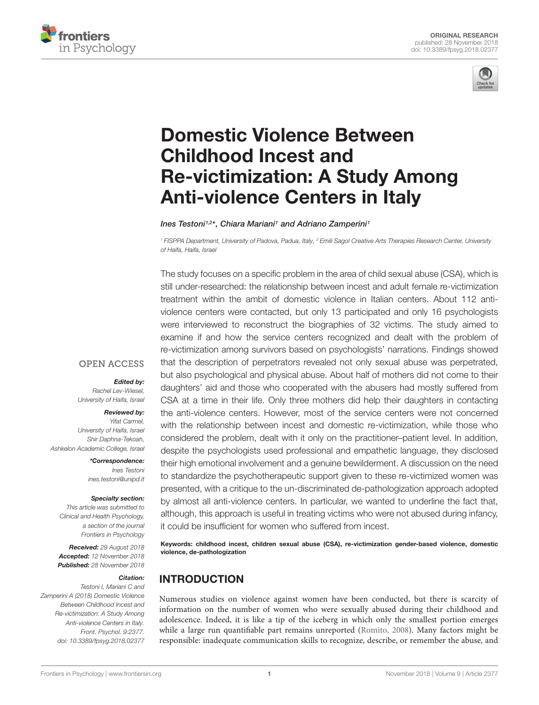



# Domestic Violence Between Childhood Incest and [Re-victimization: A Study Among](https://www.frontiersin.org/articles/10.3389/fpsyg.2018.02377/full) Anti-violence Centers in Italy

[Ines Testoni](http://loop.frontiersin.org/people/102152/overview)1,2\*, [Chiara Mariani](http://loop.frontiersin.org/people/617208/overview)1 and Adriano Zamperini1

<sup>1</sup> FISPPA Department, University of Padova, Padua, Italy, <sup>2</sup> Emili Sagol Creative Arts Therapies Research Center, University of Haifa, Haifa, Israel

The study focuses on a specific problem in the area of child sexual abuse (CSA), which is still under-researched: the relationship between incest and adult female re-victimization treatment within the ambit of domestic violence in Italian centers. About 112 antiviolence centers were contacted, but only 13 participated and only 16 psychologists were interviewed to reconstruct the biographies of 32 victims. The study aimed to examine if and how the service centers recognized and dealt with the problem of re-victimization among survivors based on psychologists' narrations. Findings showed that the description of perpetrators revealed not only sexual abuse was perpetrated, but also psychological and physical abuse. About half of mothers did not come to their daughters' aid and those who cooperated with the abusers had mostly suffered from CSA at a time in their life. Only three mothers did help their daughters in contacting the anti-violence centers. However, most of the service centers were not concerned with the relationship between incest and domestic re-victimization, while those who considered the problem, dealt with it only on the practitioner–patient level. In addition, despite the psychologists used professional and empathetic language, they disclosed their high emotional involvement and a genuine bewilderment. A discussion on the need to standardize the psychotherapeutic support given to these re-victimized women was presented, with a critique to the un-discriminated de-pathologization approach adopted by almost all anti-violence centers. In particular, we wanted to underline the fact that, although, this approach is useful in treating victims who were not abused during infancy, it could be insufficient for women who suffered from incest.

Keywords: childhood incest, children sexual abuse (CSA), re-victimization gender-based violence, domestic violence, de-pathologization

### INTRODUCTION

Numerous studies on violence against women have been conducted, but there is scarcity of information on the number of women who were sexually abused during their childhood and adolescence. Indeed, it is like a tip of the iceberg in which only the smallest portion emerges while a large run quantifiable part remains unreported [\(Romito,](#page-10-0) [2008\)](#page-10-0). Many factors might be responsible: inadequate communication skills to recognize, describe, or remember the abuse, and

#### **OPEN ACCESS**

#### Edited by:

Rachel Lev-Wiesel, University of Haifa, Israel

#### Reviewed by:

Yifat Carmel, University of Haifa, Israel Shir Daphna-Tekoah, Ashkelon Academic College, Israel

> \*Correspondence: Ines Testoni ines.testoni@unipd.it

#### Specialty section:

This article was submitted to Clinical and Health Psychology, a section of the journal Frontiers in Psychology

Received: 29 August 2018 Accepted: 12 November 2018 Published: 28 November 2018

#### Citation:

Testoni I, Mariani C and Zamperini A (2018) Domestic Violence Between Childhood Incest and Re-victimization: A Study Among Anti-violence Centers in Italy. Front. Psychol. 9:2377. doi: [10.3389/fpsyg.2018.02377](https://doi.org/10.3389/fpsyg.2018.02377)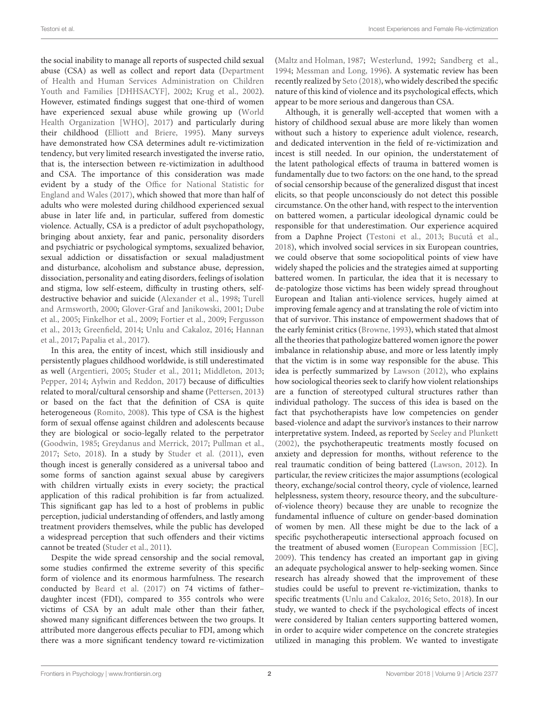the social inability to manage all reports of suspected child sexual abuse (CSA) as well as collect and report data [\(Department](#page-9-0) [of Health and Human Services Administration on Children](#page-9-0) [Youth and Families \[DHHSACYF\],](#page-9-0) [2002;](#page-9-0) [Krug et al.,](#page-9-1) [2002\)](#page-9-1). However, estimated findings suggest that one-third of women have experienced sexual abuse while growing up [\(World](#page-10-1) [Health Organization \[WHO\],](#page-10-1) [2017\)](#page-10-1) and particularly during their childhood [\(Elliott and Briere,](#page-9-2) [1995\)](#page-9-2). Many surveys have demonstrated how CSA determines adult re-victimization tendency, but very limited research investigated the inverse ratio, that is, the intersection between re-victimization in adulthood and CSA. The importance of this consideration was made evident by a study of the [Office for National Statistic for](#page-10-2) [England and Wales](#page-10-2) [\(2017\)](#page-10-2), which showed that more than half of adults who were molested during childhood experienced sexual abuse in later life and, in particular, suffered from domestic violence. Actually, CSA is a predictor of adult psychopathology, bringing about anxiety, fear and panic, personality disorders and psychiatric or psychological symptoms, sexualized behavior, sexual addiction or dissatisfaction or sexual maladjustment and disturbance, alcoholism and substance abuse, depression, dissociation, personality and eating disorders, feelings of isolation and stigma, low self-esteem, difficulty in trusting others, selfdestructive behavior and suicide [\(Alexander et al.,](#page-9-3) [1998;](#page-9-3) [Turell](#page-10-3) [and Armsworth,](#page-10-3) [2000;](#page-10-3) [Glover-Graf and Janikowski,](#page-9-4) [2001;](#page-9-4) [Dube](#page-9-5) [et al.,](#page-9-5) [2005;](#page-9-5) [Finkelhor et al.,](#page-9-6) [2009;](#page-9-6) [Fortier et al.,](#page-9-7) [2009;](#page-9-7) [Fergusson](#page-9-8) [et al.,](#page-9-8) [2013;](#page-9-8) [Greenfield,](#page-9-9) [2014;](#page-9-9) [Unlu and Cakaloz,](#page-10-4) [2016;](#page-10-4) [Hannan](#page-9-10) [et al.,](#page-9-10) [2017;](#page-9-10) [Papalia et al.,](#page-10-5) [2017\)](#page-10-5).

In this area, the entity of incest, which still insidiously and persistently plagues childhood worldwide, is still underestimated as well [\(Argentieri,](#page-9-11) [2005;](#page-9-11) [Studer et al.,](#page-10-6) [2011;](#page-10-6) [Middleton,](#page-9-12) [2013;](#page-9-12) [Pepper,](#page-10-7) [2014;](#page-10-7) [Aylwin and Reddon,](#page-9-13) [2017\)](#page-9-13) because of difficulties related to moral/cultural censorship and shame [\(Pettersen,](#page-10-8) [2013\)](#page-10-8) or based on the fact that the definition of CSA is quite heterogeneous [\(Romito,](#page-10-0) [2008\)](#page-10-0). This type of CSA is the highest form of sexual offense against children and adolescents because they are biological or socio-legally related to the perpetrator [\(Goodwin,](#page-9-14) [1985;](#page-9-14) [Greydanus and Merrick,](#page-9-15) [2017;](#page-9-15) [Pullman et al.,](#page-10-9) [2017;](#page-10-9) [Seto,](#page-10-10) [2018\)](#page-10-10). In a study by [Studer et al.](#page-10-6) [\(2011\)](#page-10-6), even though incest is generally considered as a universal taboo and some forms of sanction against sexual abuse by caregivers with children virtually exists in every society; the practical application of this radical prohibition is far from actualized. This significant gap has led to a host of problems in public perception, judicial understanding of offenders, and lastly among treatment providers themselves, while the public has developed a widespread perception that such offenders and their victims cannot be treated [\(Studer et al.,](#page-10-6) [2011\)](#page-10-6).

Despite the wide spread censorship and the social removal, some studies confirmed the extreme severity of this specific form of violence and its enormous harmfulness. The research conducted by [Beard et al.](#page-9-16) [\(2017\)](#page-9-16) on 74 victims of father– daughter incest (FDI), compared to 355 controls who were victims of CSA by an adult male other than their father, showed many significant differences between the two groups. It attributed more dangerous effects peculiar to FDI, among which there was a more significant tendency toward re-victimization

[\(Maltz and Holman,](#page-9-17) [1987;](#page-9-17) [Westerlund,](#page-10-11) [1992;](#page-10-11) [Sandberg et al.,](#page-10-12) [1994;](#page-10-12) [Messman and Long,](#page-9-18) [1996\)](#page-9-18). A systematic review has been recently realized by [Seto](#page-10-10) [\(2018\)](#page-10-10), who widely described the specific nature of this kind of violence and its psychological effects, which appear to be more serious and dangerous than CSA.

Although, it is generally well-accepted that women with a history of childhood sexual abuse are more likely than women without such a history to experience adult violence, research, and dedicated intervention in the field of re-victimization and incest is still needed. In our opinion, the understatement of the latent pathological effects of trauma in battered women is fundamentally due to two factors: on the one hand, to the spread of social censorship because of the generalized disgust that incest elicits, so that people unconsciously do not detect this possible circumstance. On the other hand, with respect to the intervention on battered women, a particular ideological dynamic could be responsible for that underestimation. Our experience acquired from a Daphne Project [\(Testoni et al.,](#page-10-13) [2013;](#page-10-13) Bucută et al., [2018\)](#page-9-19), which involved social services in six European countries, we could observe that some sociopolitical points of view have widely shaped the policies and the strategies aimed at supporting battered women. In particular, the idea that it is necessary to de-patologize those victims has been widely spread throughout European and Italian anti-violence services, hugely aimed at improving female agency and at translating the role of victim into that of survivor. This instance of empowerment shadows that of the early feminist critics [\(Browne,](#page-9-20) [1993\)](#page-9-20), which stated that almost all the theories that pathologize battered women ignore the power imbalance in relationship abuse, and more or less latently imply that the victim is in some way responsible for the abuse. This idea is perfectly summarized by [Lawson](#page-9-21) [\(2012\)](#page-9-21), who explains how sociological theories seek to clarify how violent relationships are a function of stereotyped cultural structures rather than individual pathology. The success of this idea is based on the fact that psychotherapists have low competencies on gender based-violence and adapt the survivor's instances to their narrow interpretative system. Indeed, as reported by [Seeley and Plunkett](#page-10-14) [\(2002\)](#page-10-14), the psychotherapeutic treatments mostly focused on anxiety and depression for months, without reference to the real traumatic condition of being battered [\(Lawson,](#page-9-21) [2012\)](#page-9-21). In particular, the review criticizes the major assumptions (ecological theory, exchange/social control theory, cycle of violence, learned helplessness, system theory, resource theory, and the subcultureof-violence theory) because they are unable to recognize the fundamental influence of culture on gender-based domination of women by men. All these might be due to the lack of a specific psychotherapeutic intersectional approach focused on the treatment of abused women [\(European Commission \[EC\],](#page-9-22) [2009\)](#page-9-22). This tendency has created an important gap in giving an adequate psychological answer to help-seeking women. Since research has already showed that the improvement of these studies could be useful to prevent re-victimization, thanks to specific treatments [\(Unlu and Cakaloz,](#page-10-4) [2016;](#page-10-4) [Seto,](#page-10-10) [2018\)](#page-10-10). In our study, we wanted to check if the psychological effects of incest were considered by Italian centers supporting battered women, in order to acquire wider competence on the concrete strategies utilized in managing this problem. We wanted to investigate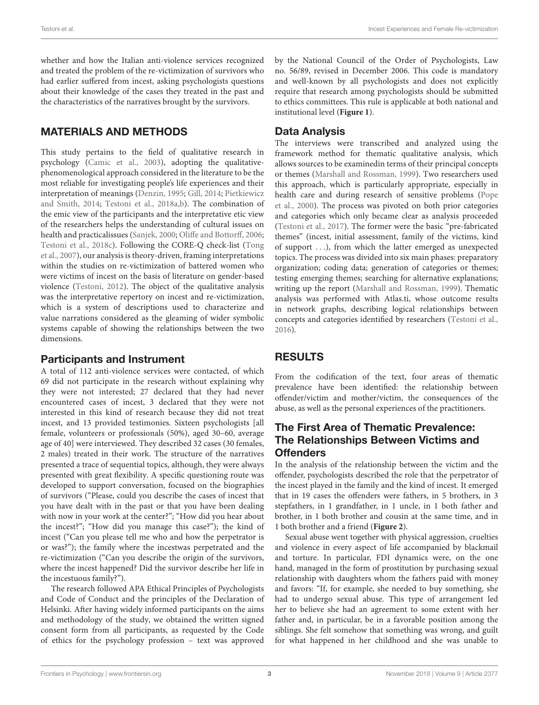whether and how the Italian anti-violence services recognized and treated the problem of the re-victimization of survivors who had earlier suffered from incest, asking psychologists questions about their knowledge of the cases they treated in the past and the characteristics of the narratives brought by the survivors.

# MATERIALS AND METHODS

This study pertains to the field of qualitative research in psychology [\(Camic et al.,](#page-9-23) [2003\)](#page-9-23), adopting the qualitativephenomenological approach considered in the literature to be the most reliable for investigating people's life experiences and their interpretation of meanings [\(Denzin,](#page-9-24) [1995;](#page-9-24) [Gill,](#page-9-25) [2014;](#page-9-25) [Pietkiewicz](#page-10-15) [and Smith,](#page-10-15) [2014;](#page-10-15) [Testoni et al.,](#page-10-16) [2018a](#page-10-16)[,b\)](#page-10-17). The combination of the emic view of the participants and the interpretative etic view of the researchers helps the understanding of cultural issues on health and practicalissues [\(Sanjek,](#page-10-18) [2000;](#page-10-18) [Oliffe and Bottorff,](#page-10-19) [2006;](#page-10-19) [Testoni et al.,](#page-10-20) [2018c\)](#page-10-20). Following the CORE-Q check-list [\(Tong](#page-10-21) [et al.,](#page-10-21) [2007\)](#page-10-21), our analysis is theory-driven, framing interpretations within the studies on re-victimization of battered women who were victims of incest on the basis of literature on gender-based violence [\(Testoni,](#page-10-22) [2012\)](#page-10-22). The object of the qualitative analysis was the interpretative repertory on incest and re-victimization, which is a system of descriptions used to characterize and value narrations considered as the gleaming of wider symbolic systems capable of showing the relationships between the two dimensions.

### Participants and Instrument

A total of 112 anti-violence services were contacted, of which 69 did not participate in the research without explaining why they were not interested; 27 declared that they had never encountered cases of incest, 3 declared that they were not interested in this kind of research because they did not treat incest, and 13 provided testimonies. Sixteen psychologists [all female, volunteers or professionals (50%), aged 30–60, average age of 40] were interviewed. They described 32 cases (30 females, 2 males) treated in their work. The structure of the narratives presented a trace of sequential topics, although, they were always presented with great flexibility. A specific questioning route was developed to support conversation, focused on the biographies of survivors ("Please, could you describe the cases of incest that you have dealt with in the past or that you have been dealing with now in your work at the center?"; "How did you hear about the incest?"; "How did you manage this case?"); the kind of incest ("Can you please tell me who and how the perpetrator is or was?"); the family where the incestwas perpetrated and the re-victimization ("Can you describe the origin of the survivors, where the incest happened? Did the survivor describe her life in the incestuous family?").

The research followed APA Ethical Principles of Psychologists and Code of Conduct and the principles of the Declaration of Helsinki. After having widely informed participants on the aims and methodology of the study, we obtained the written signed consent form from all participants, as requested by the Code of ethics for the psychology profession – text was approved

by the National Council of the Order of Psychologists, Law no. 56/89, revised in December 2006. This code is mandatory and well-known by all psychologists and does not explicitly require that research among psychologists should be submitted to ethics committees. This rule is applicable at both national and institutional level (**[Figure 1](#page-3-0)**).

#### Data Analysis

The interviews were transcribed and analyzed using the framework method for thematic qualitative analysis, which allows sources to be examinedin terms of their principal concepts or themes [\(Marshall and Rossman,](#page-9-26) [1999\)](#page-9-26). Two researchers used this approach, which is particularly appropriate, especially in health care and during research of sensitive problems [\(Pope](#page-10-23) [et al.,](#page-10-23) [2000\)](#page-10-23). The process was pivoted on both prior categories and categories which only became clear as analysis proceeded [\(Testoni et al.,](#page-10-24) [2017\)](#page-10-24). The former were the basic "pre-fabricated themes" (incest, initial assessment, family of the victims, kind of support . . .), from which the latter emerged as unexpected topics. The process was divided into six main phases: preparatory organization; coding data; generation of categories or themes; testing emerging themes; searching for alternative explanations; writing up the report [\(Marshall and Rossman,](#page-9-26) [1999\)](#page-9-26). Thematic analysis was performed with Atlas.ti, whose outcome results in network graphs, describing logical relationships between concepts and categories identified by researchers [\(Testoni et al.,](#page-10-25) [2016\)](#page-10-25).

# RESULTS

From the codification of the text, four areas of thematic prevalence have been identified: the relationship between offender/victim and mother/victim, the consequences of the abuse, as well as the personal experiences of the practitioners.

# The First Area of Thematic Prevalence: The Relationships Between Victims and **Offenders**

In the analysis of the relationship between the victim and the offender, psychologists described the role that the perpetrator of the incest played in the family and the kind of incest. It emerged that in 19 cases the offenders were fathers, in 5 brothers, in 3 stepfathers, in 1 grandfather, in 1 uncle, in 1 both father and brother, in 1 both brother and cousin at the same time, and in 1 both brother and a friend (**[Figure 2](#page-4-0)**).

Sexual abuse went together with physical aggression, cruelties and violence in every aspect of life accompanied by blackmail and torture. In particular, FDI dynamics were, on the one hand, managed in the form of prostitution by purchasing sexual relationship with daughters whom the fathers paid with money and favors: "If, for example, she needed to buy something, she had to undergo sexual abuse. This type of arrangement led her to believe she had an agreement to some extent with her father and, in particular, be in a favorable position among the siblings. She felt somehow that something was wrong, and guilt for what happened in her childhood and she was unable to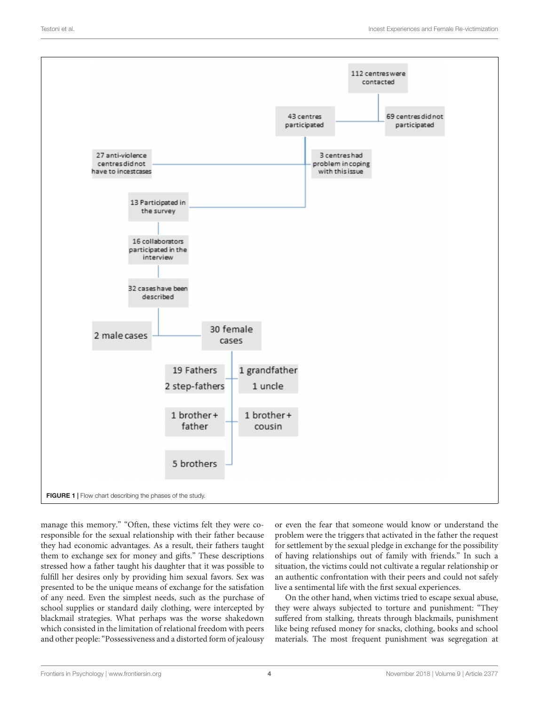

<span id="page-3-0"></span>manage this memory." "Often, these victims felt they were coresponsible for the sexual relationship with their father because they had economic advantages. As a result, their fathers taught them to exchange sex for money and gifts." These descriptions stressed how a father taught his daughter that it was possible to fulfill her desires only by providing him sexual favors. Sex was presented to be the unique means of exchange for the satisfation of any need. Even the simplest needs, such as the purchase of school supplies or standard daily clothing, were intercepted by blackmail strategies. What perhaps was the worse shakedown which consisted in the limitation of relational freedom with peers and other people: "Possessiveness and a distorted form of jealousy

or even the fear that someone would know or understand the problem were the triggers that activated in the father the request for settlement by the sexual pledge in exchange for the possibility of having relationships out of family with friends." In such a situation, the victims could not cultivate a regular relationship or an authentic confrontation with their peers and could not safely live a sentimental life with the first sexual experiences.

On the other hand, when victims tried to escape sexual abuse, they were always subjected to torture and punishment: "They suffered from stalking, threats through blackmails, punishment like being refused money for snacks, clothing, books and school materials. The most frequent punishment was segregation at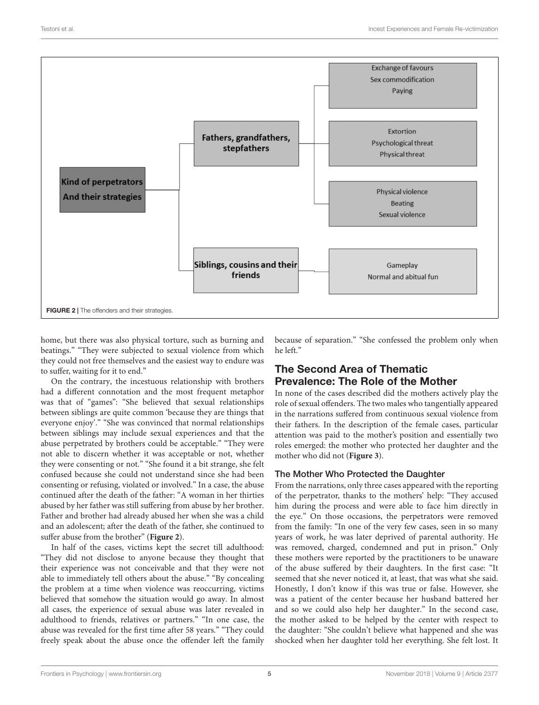

<span id="page-4-0"></span>home, but there was also physical torture, such as burning and beatings." "They were subjected to sexual violence from which they could not free themselves and the easiest way to endure was to suffer, waiting for it to end."

On the contrary, the incestuous relationship with brothers had a different connotation and the most frequent metaphor was that of "games": "She believed that sexual relationships between siblings are quite common 'because they are things that everyone enjoy'." "She was convinced that normal relationships between siblings may include sexual experiences and that the abuse perpetrated by brothers could be acceptable." "They were not able to discern whether it was acceptable or not, whether they were consenting or not." "She found it a bit strange, she felt confused because she could not understand since she had been consenting or refusing, violated or involved." In a case, the abuse continued after the death of the father: "A woman in her thirties abused by her father was still suffering from abuse by her brother. Father and brother had already abused her when she was a child and an adolescent; after the death of the father, she continued to suffer abuse from the brother" (**[Figure 2](#page-4-0)**).

In half of the cases, victims kept the secret till adulthood: "They did not disclose to anyone because they thought that their experience was not conceivable and that they were not able to immediately tell others about the abuse." "By concealing the problem at a time when violence was reoccurring, victims believed that somehow the situation would go away. In almost all cases, the experience of sexual abuse was later revealed in adulthood to friends, relatives or partners." "In one case, the abuse was revealed for the first time after 58 years." "They could freely speak about the abuse once the offender left the family because of separation." "She confessed the problem only when he left."

# The Second Area of Thematic Prevalence: The Role of the Mother

In none of the cases described did the mothers actively play the role of sexual offenders. The two males who tangentially appeared in the narrations suffered from continuous sexual violence from their fathers. In the description of the female cases, particular attention was paid to the mother's position and essentially two roles emerged: the mother who protected her daughter and the mother who did not (**[Figure 3](#page-5-0)**).

#### The Mother Who Protected the Daughter

From the narrations, only three cases appeared with the reporting of the perpetrator, thanks to the mothers' help: "They accused him during the process and were able to face him directly in the eye." On those occasions, the perpetrators were removed from the family: "In one of the very few cases, seen in so many years of work, he was later deprived of parental authority. He was removed, charged, condemned and put in prison." Only these mothers were reported by the practitioners to be unaware of the abuse suffered by their daughters. In the first case: "It seemed that she never noticed it, at least, that was what she said. Honestly, I don't know if this was true or false. However, she was a patient of the center because her husband battered her and so we could also help her daughter." In the second case, the mother asked to be helped by the center with respect to the daughter: "She couldn't believe what happened and she was shocked when her daughter told her everything. She felt lost. It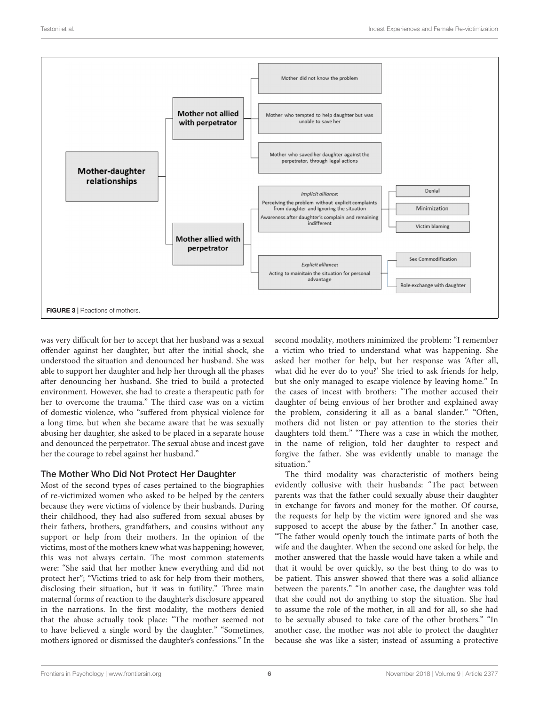

<span id="page-5-0"></span>was very difficult for her to accept that her husband was a sexual offender against her daughter, but after the initial shock, she understood the situation and denounced her husband. She was able to support her daughter and help her through all the phases after denouncing her husband. She tried to build a protected environment. However, she had to create a therapeutic path for her to overcome the trauma." The third case was on a victim of domestic violence, who "suffered from physical violence for a long time, but when she became aware that he was sexually abusing her daughter, she asked to be placed in a separate house and denounced the perpetrator. The sexual abuse and incest gave her the courage to rebel against her husband."

#### The Mother Who Did Not Protect Her Daughter

Most of the second types of cases pertained to the biographies of re-victimized women who asked to be helped by the centers because they were victims of violence by their husbands. During their childhood, they had also suffered from sexual abuses by their fathers, brothers, grandfathers, and cousins without any support or help from their mothers. In the opinion of the victims, most of the mothers knew what was happening; however, this was not always certain. The most common statements were: "She said that her mother knew everything and did not protect her"; "Victims tried to ask for help from their mothers, disclosing their situation, but it was in futility." Three main maternal forms of reaction to the daughter's disclosure appeared in the narrations. In the first modality, the mothers denied that the abuse actually took place: "The mother seemed not to have believed a single word by the daughter." "Sometimes, mothers ignored or dismissed the daughter's confessions." In the second modality, mothers minimized the problem: "I remember a victim who tried to understand what was happening. She asked her mother for help, but her response was 'After all, what did he ever do to you?' She tried to ask friends for help, but she only managed to escape violence by leaving home." In the cases of incest with brothers: "The mother accused their daughter of being envious of her brother and explained away the problem, considering it all as a banal slander." "Often, mothers did not listen or pay attention to the stories their daughters told them." "There was a case in which the mother, in the name of religion, told her daughter to respect and forgive the father. She was evidently unable to manage the situation."

The third modality was characteristic of mothers being evidently collusive with their husbands: "The pact between parents was that the father could sexually abuse their daughter in exchange for favors and money for the mother. Of course, the requests for help by the victim were ignored and she was supposed to accept the abuse by the father." In another case, "The father would openly touch the intimate parts of both the wife and the daughter. When the second one asked for help, the mother answered that the hassle would have taken a while and that it would be over quickly, so the best thing to do was to be patient. This answer showed that there was a solid alliance between the parents." "In another case, the daughter was told that she could not do anything to stop the situation. She had to assume the role of the mother, in all and for all, so she had to be sexually abused to take care of the other brothers." "In another case, the mother was not able to protect the daughter because she was like a sister; instead of assuming a protective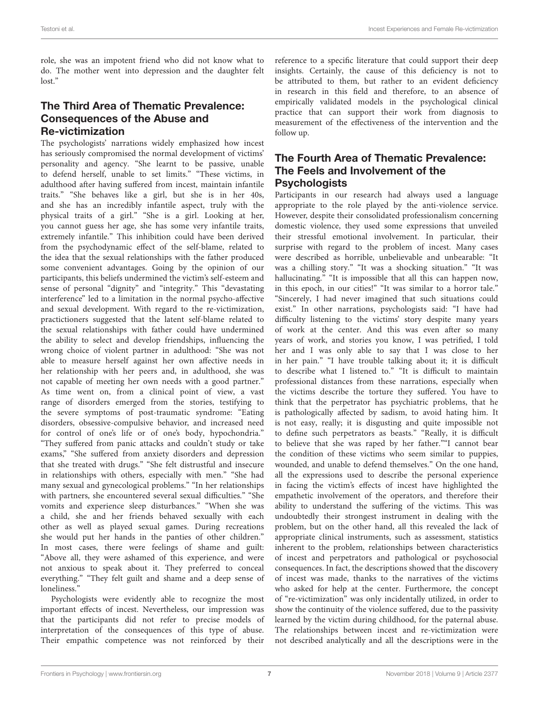role, she was an impotent friend who did not know what to do. The mother went into depression and the daughter felt lost."

# The Third Area of Thematic Prevalence: Consequences of the Abuse and Re-victimization

The psychologists' narrations widely emphasized how incest has seriously compromised the normal development of victims' personality and agency. "She learnt to be passive, unable to defend herself, unable to set limits." "These victims, in adulthood after having suffered from incest, maintain infantile traits." "She behaves like a girl, but she is in her 40s, and she has an incredibly infantile aspect, truly with the physical traits of a girl." "She is a girl. Looking at her, you cannot guess her age, she has some very infantile traits, extremely infantile." This inhibition could have been derived from the psychodynamic effect of the self-blame, related to the idea that the sexual relationships with the father produced some convenient advantages. Going by the opinion of our participants, this beliefs undermined the victim's self-esteem and sense of personal "dignity" and "integrity." This "devastating interference" led to a limitation in the normal psycho-affective and sexual development. With regard to the re-victimization, practictioners suggested that the latent self-blame related to the sexual relationships with father could have undermined the ability to select and develop friendships, influencing the wrong choice of violent partner in adulthood: "She was not able to measure herself against her own affective needs in her relationship with her peers and, in adulthood, she was not capable of meeting her own needs with a good partner." As time went on, from a clinical point of view, a vast range of disorders emerged from the stories, testifying to the severe symptoms of post-traumatic syndrome: "Eating disorders, obsessive-compulsive behavior, and increased need for control of one's life or of one's body, hypochondria." "They suffered from panic attacks and couldn't study or take exams," "She suffered from anxiety disorders and depression that she treated with drugs." "She felt distrustful and insecure in relationships with others, especially with men." "She had many sexual and gynecological problems." "In her relationships with partners, she encountered several sexual difficulties." "She vomits and experience sleep disturbances." "When she was a child, she and her friends behaved sexually with each other as well as played sexual games. During recreations she would put her hands in the panties of other children." In most cases, there were feelings of shame and guilt: "Above all, they were ashamed of this experience, and were not anxious to speak about it. They preferred to conceal everything." "They felt guilt and shame and a deep sense of loneliness."

Psychologists were evidently able to recognize the most important effects of incest. Nevertheless, our impression was that the participants did not refer to precise models of interpretation of the consequences of this type of abuse. Their empathic competence was not reinforced by their

reference to a specific literature that could support their deep insights. Certainly, the cause of this deficiency is not to be attributed to them, but rather to an evident deficiency in research in this field and therefore, to an absence of empirically validated models in the psychological clinical practice that can support their work from diagnosis to measurement of the effectiveness of the intervention and the follow up.

# The Fourth Area of Thematic Prevalence: The Feels and Involvement of the **Psychologists**

Participants in our research had always used a language appropriate to the role played by the anti-violence service. However, despite their consolidated professionalism concerning domestic violence, they used some expressions that unveiled their stressful emotional involvement. In particular, their surprise with regard to the problem of incest. Many cases were described as horrible, unbelievable and unbearable: "It was a chilling story." "It was a shocking situation." "It was hallucinating." "It is impossible that all this can happen now, in this epoch, in our cities!" "It was similar to a horror tale." "Sincerely, I had never imagined that such situations could exist." In other narrations, psychologists said: "I have had difficulty listening to the victims' story despite many years of work at the center. And this was even after so many years of work, and stories you know, I was petrified, I told her and I was only able to say that I was close to her in her pain." "I have trouble talking about it; it is difficult to describe what I listened to." "It is difficult to maintain professional distances from these narrations, especially when the victims describe the torture they suffered. You have to think that the perpetrator has psychiatric problems, that he is pathologically affected by sadism, to avoid hating him. It is not easy, really; it is disgusting and quite impossible not to define such perpetrators as beasts." "Really, it is difficult to believe that she was raped by her father.""I cannot bear the condition of these victims who seem similar to puppies, wounded, and unable to defend themselves." On the one hand, all the expressions used to describe the personal experience in facing the victim's effects of incest have highlighted the empathetic involvement of the operators, and therefore their ability to understand the suffering of the victims. This was undoubtedly their strongest instrument in dealing with the problem, but on the other hand, all this revealed the lack of appropriate clinical instruments, such as assessment, statistics inherent to the problem, relationships between characteristics of incest and perpetrators and pathological or psychosocial consequences. In fact, the descriptions showed that the discovery of incest was made, thanks to the narratives of the victims who asked for help at the center. Furthermore, the concept of "re-victimization" was only incidentally utilized, in order to show the continuity of the violence suffered, due to the passivity learned by the victim during childhood, for the paternal abuse. The relationships between incest and re-victimization were not described analytically and all the descriptions were in the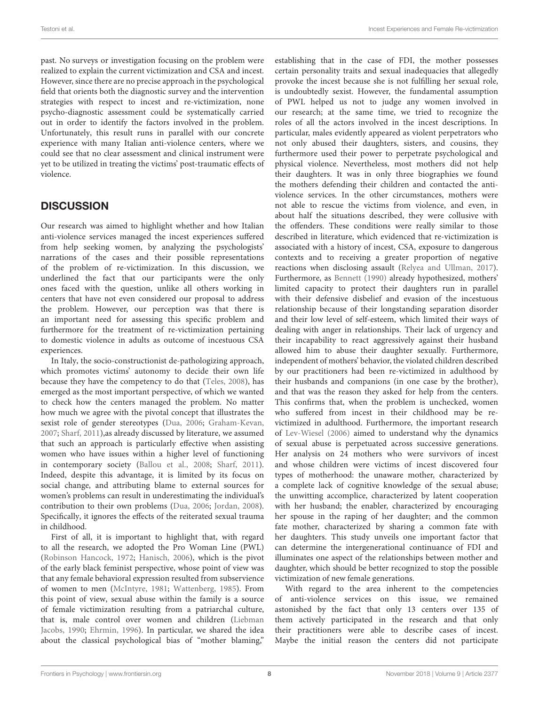past. No surveys or investigation focusing on the problem were realized to explain the current victimization and CSA and incest. However, since there are no precise approach in the psychological field that orients both the diagnostic survey and the intervention strategies with respect to incest and re-victimization, none psycho-diagnostic assessment could be systematically carried out in order to identify the factors involved in the problem. Unfortunately, this result runs in parallel with our concrete experience with many Italian anti-violence centers, where we could see that no clear assessment and clinical instrument were yet to be utilized in treating the victims' post-traumatic effects of violence.

### **DISCUSSION**

Our research was aimed to highlight whether and how Italian anti-violence services managed the incest experiences suffered from help seeking women, by analyzing the psychologists' narrations of the cases and their possible representations of the problem of re-victimization. In this discussion, we underlined the fact that our participants were the only ones faced with the question, unlike all others working in centers that have not even considered our proposal to address the problem. However, our perception was that there is an important need for assessing this specific problem and furthermore for the treatment of re-victimization pertaining to domestic violence in adults as outcome of incestuous CSA experiences.

In Italy, the socio-constructionist de-pathologizing approach, which promotes victims' autonomy to decide their own life because they have the competency to do that [\(Teles,](#page-10-26) [2008\)](#page-10-26), has emerged as the most important perspective, of which we wanted to check how the centers managed the problem. No matter how much we agree with the pivotal concept that illustrates the sexist role of gender stereotypes [\(Dua,](#page-9-27) [2006;](#page-9-27) [Graham-Kevan,](#page-9-28) [2007;](#page-9-28) [Sharf,](#page-10-27) [2011\)](#page-10-27),as already discussed by literature, we assumed that such an approach is particularly effective when assisting women who have issues within a higher level of functioning in contemporary society [\(Ballou et al.,](#page-9-29) [2008;](#page-9-29) [Sharf,](#page-10-27) [2011\)](#page-10-27). Indeed, despite this advantage, it is limited by its focus on social change, and attributing blame to external sources for women's problems can result in underestimating the individual's contribution to their own problems [\(Dua,](#page-9-27) [2006;](#page-9-27) [Jordan,](#page-9-30) [2008\)](#page-9-30). Specifically, it ignores the effects of the reiterated sexual trauma in childhood.

First of all, it is important to highlight that, with regard to all the research, we adopted the Pro Woman Line (PWL) [\(Robinson Hancock,](#page-10-28) [1972;](#page-10-28) [Hanisch,](#page-9-31) [2006\)](#page-9-31), which is the pivot of the early black feminist perspective, whose point of view was that any female behavioral expression resulted from subservience of women to men [\(McIntyre,](#page-9-32) [1981;](#page-9-32) [Wattenberg,](#page-10-29) [1985\)](#page-10-29). From this point of view, sexual abuse within the family is a source of female victimization resulting from a patriarchal culture, that is, male control over women and children [\(Liebman](#page-9-33) [Jacobs,](#page-9-33) [1990;](#page-9-33) [Ehrmin,](#page-9-34) [1996\)](#page-9-34). In particular, we shared the idea about the classical psychological bias of "mother blaming,"

establishing that in the case of FDI, the mother possesses certain personality traits and sexual inadequacies that allegedly provoke the incest because she is not fulfilling her sexual role, is undoubtedly sexist. However, the fundamental assumption of PWL helped us not to judge any women involved in our research; at the same time, we tried to recognize the roles of all the actors involved in the incest descriptions. In particular, males evidently appeared as violent perpetrators who not only abused their daughters, sisters, and cousins, they furthermore used their power to perpetrate psychological and physical violence. Nevertheless, most mothers did not help their daughters. It was in only three biographies we found the mothers defending their children and contacted the antiviolence services. In the other circumstances, mothers were not able to rescue the victims from violence, and even, in about half the situations described, they were collusive with the offenders. These conditions were really similar to those described in literature, which evidenced that re-victimization is associated with a history of incest, CSA, exposure to dangerous contexts and to receiving a greater proportion of negative reactions when disclosing assault [\(Relyea and Ullman,](#page-10-30) [2017\)](#page-10-30). Furthermore, as [Bennett](#page-9-35) [\(1990\)](#page-9-35) already hypothesized, mothers' limited capacity to protect their daughters run in parallel with their defensive disbelief and evasion of the incestuous relationship because of their longstanding separation disorder and their low level of self-esteem, which limited their ways of dealing with anger in relationships. Their lack of urgency and their incapability to react aggressively against their husband allowed him to abuse their daughter sexually. Furthermore, independent of mothers' behavior, the violated children described by our practitioners had been re-victimized in adulthood by their husbands and companions (in one case by the brother), and that was the reason they asked for help from the centers. This confirms that, when the problem is unchecked, women who suffered from incest in their childhood may be revictimized in adulthood. Furthermore, the important research of [Lev-Wiesel](#page-9-36) [\(2006\)](#page-9-36) aimed to understand why the dynamics of sexual abuse is perpetuated across successive generations. Her analysis on 24 mothers who were survivors of incest and whose children were victims of incest discovered four types of motherhood: the unaware mother, characterized by a complete lack of cognitive knowledge of the sexual abuse; the unwitting accomplice, characterized by latent cooperation with her husband; the enabler, characterized by encouraging her spouse in the raping of her daughter; and the common fate mother, characterized by sharing a common fate with her daughters. This study unveils one important factor that can determine the intergenerational continuance of FDI and illuminates one aspect of the relationships between mother and daughter, which should be better recognized to stop the possible victimization of new female generations.

With regard to the area inherent to the competencies of anti-violence services on this issue, we remained astonished by the fact that only 13 centers over 135 of them actively participated in the research and that only their practitioners were able to describe cases of incest. Maybe the initial reason the centers did not participate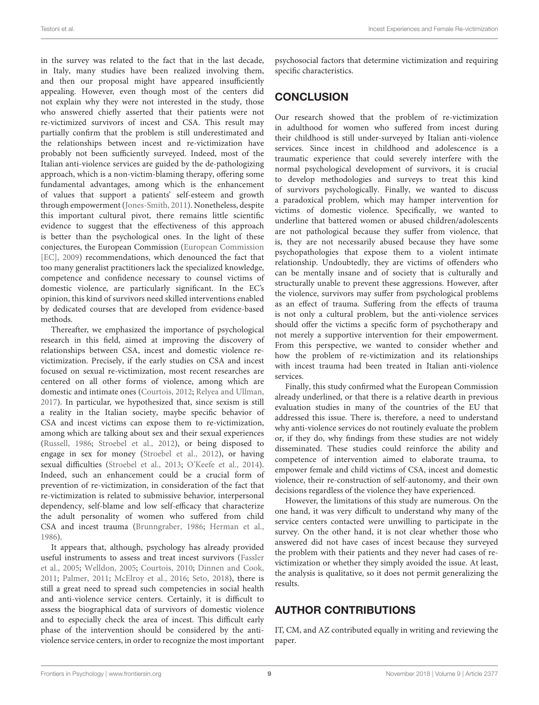in the survey was related to the fact that in the last decade, in Italy, many studies have been realized involving them, and then our proposal might have appeared insufficiently appealing. However, even though most of the centers did not explain why they were not interested in the study, those who answered chiefly asserted that their patients were not re-victimized survivors of incest and CSA. This result may partially confirm that the problem is still underestimated and the relationships between incest and re-victimization have probably not been sufficiently surveyed. Indeed, most of the Italian anti-violence services are guided by the de-pathologizing approach, which is a non-victim-blaming therapy, offering some fundamental advantages, among which is the enhancement of values that support a patients' self-esteem and growth through empowerment [\(Jones-Smith,](#page-9-37) [2011\)](#page-9-37). Nonetheless, despite this important cultural pivot, there remains little scientific evidence to suggest that the effectiveness of this approach is better than the psychological ones. In the light of these conjectures, the European Commission [\(European Commission](#page-9-22) [\[EC\],](#page-9-22) [2009\)](#page-9-22) recommendations, which denounced the fact that too many generalist practitioners lack the specialized knowledge, competence and confidence necessary to counsel victims of domestic violence, are particularly significant. In the EC's opinion, this kind of survivors need skilled interventions enabled by dedicated courses that are developed from evidence-based methods.

Thereafter, we emphasized the importance of psychological research in this field, aimed at improving the discovery of relationships between CSA, incest and domestic violence revictimization. Precisely, if the early studies on CSA and incest focused on sexual re-victimization, most recent researches are centered on all other forms of violence, among which are domestic and intimate ones [\(Courtois,](#page-9-38) [2012;](#page-9-38) [Relyea and Ullman,](#page-10-30) [2017\)](#page-10-30). In particular, we hypothesized that, since sexism is still a reality in the Italian society, maybe specific behavior of CSA and incest victims can expose them to re-victimization, among which are talking about sex and their sexual experiences [\(Russell,](#page-10-31) [1986;](#page-10-31) [Stroebel et al.,](#page-10-32) [2012\)](#page-10-32), or being disposed to engage in sex for money [\(Stroebel et al.,](#page-10-32) [2012\)](#page-10-32), or having sexual difficulties [\(Stroebel et al.,](#page-10-33) [2013;](#page-10-33) [O'Keefe et al.,](#page-10-34) [2014\)](#page-10-34). Indeed, such an enhancement could be a crucial form of prevention of re-victimization, in consideration of the fact that re-victimization is related to submissive behavior, interpersonal dependency, self-blame and low self-efficacy that characterize the adult personality of women who suffered from child CSA and incest trauma [\(Brunngraber,](#page-9-39) [1986;](#page-9-39) [Herman et al.,](#page-9-40) [1986\)](#page-9-40).

It appears that, although, psychology has already provided useful instruments to assess and treat incest survivors [\(Fassler](#page-9-41) [et al.,](#page-9-41) [2005;](#page-9-41) [Welldon,](#page-10-35) [2005;](#page-10-35) [Courtois,](#page-9-42) [2010;](#page-9-42) [Dinnen and Cook,](#page-9-43) [2011;](#page-9-43) [Palmer,](#page-10-36) [2011;](#page-10-36) [McElroy et al.,](#page-9-44) [2016;](#page-9-44) [Seto,](#page-10-10) [2018\)](#page-10-10), there is still a great need to spread such competencies in social health and anti-violence service centers. Certainly, it is difficult to assess the biographical data of survivors of domestic violence and to especially check the area of incest. This difficult early phase of the intervention should be considered by the antiviolence service centers, in order to recognize the most important

psychosocial factors that determine victimization and requiring specific characteristics.

### **CONCLUSION**

Our research showed that the problem of re-victimization in adulthood for women who suffered from incest during their childhood is still under-surveyed by Italian anti-violence services. Since incest in childhood and adolescence is a traumatic experience that could severely interfere with the normal psychological development of survivors, it is crucial to develop methodologies and surveys to treat this kind of survivors psychologically. Finally, we wanted to discuss a paradoxical problem, which may hamper intervention for victims of domestic violence. Specifically, we wanted to underline that battered women or abused children/adolescents are not pathological because they suffer from violence, that is, they are not necessarily abused because they have some psychopathologies that expose them to a violent intimate relationship. Undoubtedly, they are victims of offenders who can be mentally insane and of society that is culturally and structurally unable to prevent these aggressions. However, after the violence, survivors may suffer from psychological problems as an effect of trauma. Suffering from the effects of trauma is not only a cultural problem, but the anti-violence services should offer the victims a specific form of psychotherapy and not merely a supportive intervention for their empowerment. From this perspective, we wanted to consider whether and how the problem of re-victimization and its relationships with incest trauma had been treated in Italian anti-violence services.

Finally, this study confirmed what the European Commission already underlined, or that there is a relative dearth in previous evaluation studies in many of the countries of the EU that addressed this issue. There is, therefore, a need to understand why anti-violence services do not routinely evaluate the problem or, if they do, why findings from these studies are not widely disseminated. These studies could reinforce the ability and competence of intervention aimed to elaborate trauma, to empower female and child victims of CSA, incest and domestic violence, their re-construction of self-autonomy, and their own decisions regardless of the violence they have experienced.

However, the limitations of this study are numerous. On the one hand, it was very difficult to understand why many of the service centers contacted were unwilling to participate in the survey. On the other hand, it is not clear whether those who answered did not have cases of incest because they surveyed the problem with their patients and they never had cases of revictimization or whether they simply avoided the issue. At least, the analysis is qualitative, so it does not permit generalizing the results.

### AUTHOR CONTRIBUTIONS

IT, CM, and AZ contributed equally in writing and reviewing the paper.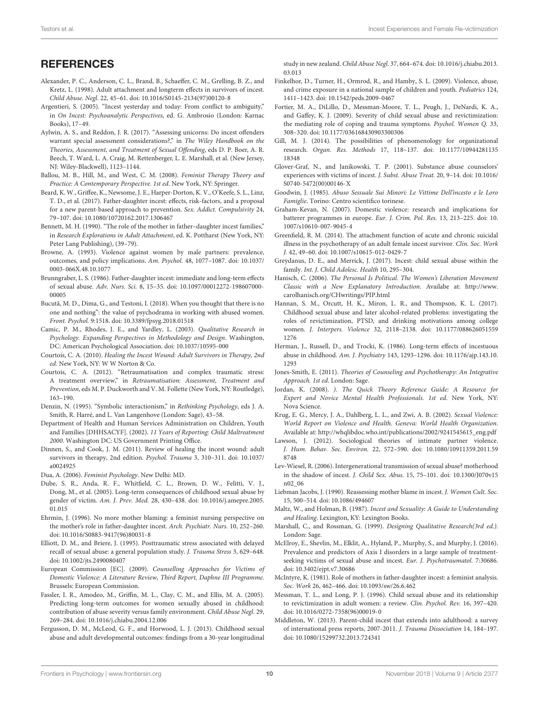#### **REFERENCES**

- <span id="page-9-3"></span>Alexander, P. C., Anderson, C. L., Brand, B., Schaeffer, C. M., Grelling, B. Z., and Kretz, L. (1998). Adult attachment and longterm effects in survivors of incest. Child Abuse. Negl. 22, 45–61. [doi: 10.1016/S0145-2134\(97\)00120-8](https://doi.org/10.1016/S0145-2134(97)00120-8)
- <span id="page-9-11"></span>Argentieri, S. (2005). "Incest yesterday and today: From conflict to ambiguity," in On Incest: Psychoanalytic Perspectives, ed. G. Ambrosio (London: Karnac Books), 17–49.
- <span id="page-9-13"></span>Aylwin, A. S., and Reddon, J. R. (2017). "Assessing unicorns: Do incest offenders warrant special assessment considerations?," in The Wiley Handbook on the Theories, Assessment, and Treatment of Sexual Offending, eds D. P. Boer, A. R. Beech, T. Ward, L. A. Craig, M. Rettenberger, L. E. Marshall, et al. (New Jersey, NJ: Wiley-Blackwell), 1123–1144.
- <span id="page-9-29"></span>Ballou, M. B., Hill, M., and West, C. M. (2008). Feminist Therapy Theory and Practice: A Contemporary Perspective. 1st ed. New York, NY: Springer.
- <span id="page-9-16"></span>Beard, K. W., Griffee, K., Newsome, J. E., Harper-Dorton, K. V., O'Keefe, S. L., Linz, T. D., et al. (2017). Father-daughter incest: effects, risk-factors, and a proposal for a new parent-based approach to prevention. Sex. Addict. Compulsivity 24, 79–107. [doi: 10.1080/10720162.2017.1306467](https://doi.org/10.1080/10720162.2017.1306467)
- <span id="page-9-35"></span>Bennett, M. H. (1990). "The role of the mother in father–daughter incest families," in Research Explorations in Adult Attachment, ed. K. Pottharst (New York, NY: Peter Lang Publishing), (39–79).
- <span id="page-9-20"></span>Browne, A. (1993). Violence against women by male partners: prevalence, outcomes, and policy implications. Am. Psychol. 48, 1077–1087. [doi: 10.1037/](https://doi.org/10.1037/0003-066X.48.10.1077) [0003-066X.48.10.1077](https://doi.org/10.1037/0003-066X.48.10.1077)
- <span id="page-9-39"></span>Brunngraber, L. S. (1986). Father-daughter incest: immediate and long-term effects of sexual abuse. Adv. Nurs. Sci. 8, 15–35. [doi: 10.1097/00012272-198607000-](https://doi.org/10.1097/00012272-198607000-00005) [00005](https://doi.org/10.1097/00012272-198607000-00005)
- <span id="page-9-19"></span>Bucută, M. D., Dima, G., and Testoni, I. (2018). When you thought that there is no one and nothing": the value of psychodrama in working with abused women. Front. Psychol. 9:1518. [doi: 10.3389/fpsyg.2018.01518](https://doi.org/10.3389/fpsyg.2018.01518)
- <span id="page-9-23"></span>Camic, P. M., Rhodes, J. E., and Yardley, L. (2003). Qualitative Research in Psychology. Expanding Perspectives in Methodology and Design. Washington, DC: American Psychological Association. [doi: 10.1037/10595-000](https://doi.org/10.1037/10595-000)
- <span id="page-9-42"></span>Courtois, C. A. (2010). Healing the Incest Wound: Adult Survivors in Therapy, 2nd ed. New York, NY: W W Norton & Co.
- <span id="page-9-38"></span>Courtois, C. A. (2012). "Retraumatisation and complex traumatic stress: A treatment overview," in Retraumatisation: Assessment, Treatment and Prevention, eds M. P. Duckworth and V. M. Follette (New York, NY: Routledge), 163–190.
- <span id="page-9-24"></span>Denzin, N. (1995). "Symbolic interactionism," in Rethinking Psychology, eds J. A. Smith, R. Harré, and L. Van Langenhove (London: Sage), 43–58.
- <span id="page-9-0"></span>Department of Health and Human Services Administration on Children, Youth and Families [DHHSACYF]. (2002). 11 Years of Reporting: Child Maltreatment 2000. Washington DC: US Government Printing Office.
- <span id="page-9-43"></span>Dinnen, S., and Cook, J. M. (2011). Review of healing the incest wound: adult survivors in therapy, 2nd edition. Psychol. Trauma 3, 310–311. [doi: 10.1037/](https://doi.org/10.1037/a0024925) [a0024925](https://doi.org/10.1037/a0024925)
- <span id="page-9-27"></span>Dua, A. (2006). Feminist Psychology. New Delhi: MD.
- <span id="page-9-5"></span>Dube, S. R., Anda, R. F., Whitfield, C. L., Brown, D. W., Felitti, V. J., Dong, M., et al. (2005). Long-term consequences of childhood sexual abuse by gender of victim. Am. J. Prev. Med. 28, 430–438. [doi: 10.1016/j.amepre.2005.](https://doi.org/10.1016/j.amepre.2005.01.015) [01.015](https://doi.org/10.1016/j.amepre.2005.01.015)
- <span id="page-9-34"></span>Ehrmin, J. (1996). No more mother blaming: a feminist nursing perspective on the mother's role in father-daughter incest. Arch. Psychiatr. Nurs. 10, 252–260. [doi: 10.1016/S0883-9417\(96\)80031-8](https://doi.org/10.1016/S0883-9417(96)80031-8)
- <span id="page-9-2"></span>Elliott, D. M., and Briere, J. (1995). Posttraumatic stress associated with delayed recall of sexual abuse: a general population study. J. Trauma Stress 3, 629–648. [doi: 10.1002/jts.2490080407](https://doi.org/10.1002/jts.2490080407)
- <span id="page-9-22"></span>European Commission [EC]. (2009). Counselling Approaches for Victims of Domestic Violence: A Literature Review, Third Report, Daphne III Programme. Brussels: European Commission.
- <span id="page-9-41"></span>Fassler, I. R., Amodeo, M., Griffin, M. L., Clay, C. M., and Ellis, M. A. (2005). Predicting long-term outcomes for women sexually abused in childhood: contribution of abuse severity versus family environment. Child Abuse Negl. 29, 269–284. [doi: 10.1016/j.chiabu.2004.12.006](https://doi.org/10.1016/j.chiabu.2004.12.006)
- <span id="page-9-8"></span>Fergusson, D. M., McLeod, G. F., and Horwood, L. J. (2013). Childhood sexual abuse and adult developmental outcomes: findings from a 30-year longitudinal

study in new zealand. Child Abuse Negl. 37, 664–674. [doi: 10.1016/j.chiabu.2013.](https://doi.org/10.1016/j.chiabu.2013.03.013) [03.013](https://doi.org/10.1016/j.chiabu.2013.03.013)

- <span id="page-9-6"></span>Finkelhor, D., Turner, H., Ormrod, R., and Hamby, S. L. (2009). Violence, abuse, and crime exposure in a national sample of children and youth. Pediatrics 124, 1411–1423. [doi: 10.1542/peds.2009-0467](https://doi.org/10.1542/peds.2009-0467)
- <span id="page-9-7"></span>Fortier, M. A., DiLillo, D., Messman-Moore, T. L., Peugh, J., DeNardi, K. A., and Gaffey, K. J. (2009). Severity of child sexual abuse and revictimization: the mediating role of coping and trauma symptoms. Psychol. Women Q. 33, 308–320. [doi: 10.1177/036168430903300306](https://doi.org/10.1177/036168430903300306)
- <span id="page-9-25"></span>Gill, M. J. (2014). The possibilities of phenomenology for organizational research. Organ. Res. Methods 17, 118–137. [doi: 10.1177/10944281135](https://doi.org/10.1177/1094428113518348) [18348](https://doi.org/10.1177/1094428113518348)
- <span id="page-9-4"></span>Glover-Graf, N., and Janikowski, T. P. (2001). Substance abuse counselors' experiences with victims of incest. J. Subst. Abuse Treat. 20, 9–14. [doi: 10.1016/](https://doi.org/10.1016/S0740-5472(00)00146-X) [S0740-5472\(00\)00146-X](https://doi.org/10.1016/S0740-5472(00)00146-X)
- <span id="page-9-14"></span>Goodwin, J. (1985). Abuso Sessuale Sui Minori: Le Vittime Dell'incesto e le Loro Famiglie. Torino: Centro scientifico torinese.
- <span id="page-9-28"></span>Graham-Kevan, N. (2007). Domestic violence: research and implications for batterer programmes in europe. Eur. J. Crim. Pol. Res. 13, 213–225. [doi: 10.](https://doi.org/10.1007/s10610-007-9045-4) [1007/s10610-007-9045-4](https://doi.org/10.1007/s10610-007-9045-4)
- <span id="page-9-9"></span>Greenfield, R. M. (2014). The attachment function of acute and chronic suicidal illness in the psychotherapy of an adult female incest survivor. Clin. Soc. Work J. 42, 49–60. [doi: 10.1007/s10615-012-0429-7](https://doi.org/10.1007/s10615-012-0429-7)
- <span id="page-9-15"></span>Greydanus, D. E., and Merrick, J. (2017). Incest: child sexual abuse within the family. Int. J. Child Adolesc. Health 10, 295–304.
- <span id="page-9-31"></span>Hanisch, C. (2006). The Personal Is Political. The Women's Liberation Movement Classic with a New Explanatory Introduction. Availabe at: [http://www.](http://www.carolhanisch.org/CHwritings/PIP.html) [carolhanisch.org/CHwritings/PIP.html](http://www.carolhanisch.org/CHwritings/PIP.html)
- <span id="page-9-10"></span>Hannan, S. M., Orcutt, H. K., Miron, L. R., and Thompson, K. L. (2017). Childhood sexual abuse and later alcohol-related problems: investigating the roles of revictimization, PTSD, and drinking motivations among college women. J. Interpers. Violence 32, 2118–2138. [doi: 10.1177/088626051559](https://doi.org/10.1177/0886260515591276) [1276](https://doi.org/10.1177/0886260515591276)
- <span id="page-9-40"></span>Herman, J., Russell, D., and Trocki, K. (1986). Long-term effects of incestuous abuse in childhood. Am. J. Psychiatry 143, 1293–1296. [doi: 10.1176/ajp.143.10.](https://doi.org/10.1176/ajp.143.10.1293) [1293](https://doi.org/10.1176/ajp.143.10.1293)
- <span id="page-9-37"></span>Jones-Smith, E. (2011). Theories of Counseling and Psychotherapy: An Integrative Approach. 1st ed. London: Sage.
- <span id="page-9-30"></span>Jordan, K. (2008). ). The Quick Theory Reference Guide: A Resource for Expert and Novice Mental Health Professionals. 1st ed. New York, NY: Nova Science.
- <span id="page-9-1"></span>Krug, E. G., Mercy, J. A., Dahlberg, L. L., and Zwi, A. B. (2002). Sexual Violence: World Report on Violence and Health. Geneva: World Health Organization. Available at: [http://whqlibdoc.who.int/publications/2002/9241545615\\_eng.pdf](http://whqlibdoc.who.int/publications/2002/9241545615_eng.pdf)
- <span id="page-9-21"></span>Lawson, J. (2012). Sociological theories of intimate partner violence. J. Hum. Behav. Soc. Environ. 22, 572–590. [doi: 10.1080/10911359.2011.59](https://doi.org/10.1080/10911359.2011.598748) [8748](https://doi.org/10.1080/10911359.2011.598748)
- <span id="page-9-36"></span>Lev-Wiesel, R. (2006). Intergenerational transmission of sexual abuse? motherhood in the shadow of incest. J. Child Sex. Abus. 15, 75–101. [doi: 10.1300/J070v15](https://doi.org/10.1300/J070v15n02_06) [n02\\_06](https://doi.org/10.1300/J070v15n02_06)
- <span id="page-9-33"></span>Liebman Jacobs, J. (1990). Reassessing mother blame in incest. J. Women Cult. Soc. 15, 500–514. [doi: 10.1086/494607](https://doi.org/10.1086/494607)
- <span id="page-9-17"></span>Maltz, W., and Holman, B. (1987). Incest and Sexuality: A Guide to Understanding and Healing. Lexington, KY: Lexington Books.
- <span id="page-9-26"></span>Marshall, C., and Rossman, G. (1999). Designing Qualitative Research(3rd ed.). London: Sage.
- <span id="page-9-44"></span>McElroy, E., Shevlin, M., Elklit, A., Hyland, P., Murphy, S., and Murphy, J. (2016). Prevalence and predictors of Axis I disorders in a large sample of treatmentseeking victims of sexual abuse and incest. Eur. J. Psychotraumatol. 7:30686. [doi: 10.3402/ejpt.v7.30686](https://doi.org/10.3402/ejpt.v7.30686)
- <span id="page-9-32"></span>McIntyre, K. (1981). Role of mothers in father-daughter incest: a feminist analysis. Soc. Work 26, 462–466. [doi: 10.1093/sw/26.6.462](https://doi.org/10.1093/sw/26.6.462)
- <span id="page-9-18"></span>Messman, T. L., and Long, P. J. (1996). Child sexual abuse and its relationship to revictimization in adult women: a review. Clin. Psychol. Rev. 16, 397–420. [doi: 10.1016/0272-7358\(96\)00019-0](https://doi.org/10.1016/0272-7358(96)00019-0)
- <span id="page-9-12"></span>Middleton, W. (2013). Parent-child incest that extends into adulthood: a survey of international press reports, 2007-2011. J. Trauma Dissociation 14, 184–197. [doi: 10.1080/15299732.2013.724341](https://doi.org/10.1080/15299732.2013.724341)